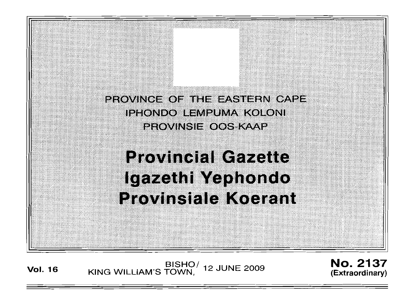PROVINCE OF THE EASTERN CAPE iphondo lempuma koloni **PROVINSIE OOS KAAP** 

# **Provincial Gazette** Igazethi Yephondo **Provinsiale Koerant**

**Vol. <sup>16</sup>** BISHO/ KING WILLIAM'S TOWN , 12 JUNE 2009

No. 2137 (Extraordinary)

I (;.;.) ••.•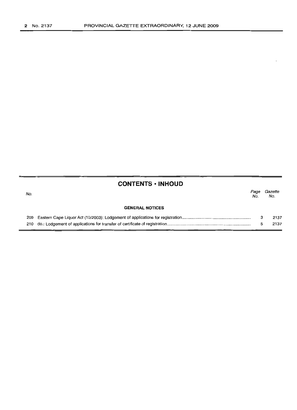# **CONTENTS • INHOUD**

| No. |                        | Page<br>No. | Gazette<br>No. |
|-----|------------------------|-------------|----------------|
|     | <b>GENERAL NOTICES</b> |             |                |
|     |                        |             | 2137           |
|     |                        |             | 2137           |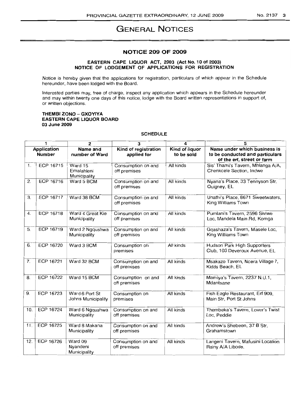#### NO.2137 3

# **GENERAL NOTICES**

#### **NOTICE 209 OF 2009**

## **EASTERN CAPE LIQUOR ACT, 2003 (Act No.1 0 of 2003) NOTICE OF LODGEMENT OF APPLICATIONS FOR REGISTRATION**

Notice is hereby given that the applications for registration, particulars of which appear in the Schedule hereunder, have been lodged with the Board.

Interested parties may, free of charge, inspect any application which appears in the Schedule hereunder and may within twenty one days of this notice, lodge with the Board written representations in support of, or written objections.

#### **THEMBI ZONO - GXOYIYA EASTERN CAPE LIQUOR BOARD 03 June 2009**

## **SCHEDULE**

|                                     | 1                | $\mathbf{2}$                          | 3                                   | 4                            | 5                                                                                             |
|-------------------------------------|------------------|---------------------------------------|-------------------------------------|------------------------------|-----------------------------------------------------------------------------------------------|
| <b>Application</b><br><b>Number</b> |                  | Name and<br>number of Ward            | Kind of registration<br>applied for | Kind of liquor<br>to be sold | Name under which business is<br>to be conducted and particulars<br>of the erf, street or farm |
| 1.                                  | ECP 16715        | Ward 15<br>Emalahieni<br>Municipality | Consumption on and<br>off premises  | All kinds                    | Sis' Thami's Tavern, Mhlanga A/A,<br>Chenkcele Section, Indwe                                 |
| $\overline{2}$ .                    | ECP 16716        | Ward 5 BCM                            | Consumption on and<br>off premises  | All kinds                    | Nyana's Place, 33 Tennyson Str,<br>Quigney, EL                                                |
| 3.                                  | <b>ECP 16717</b> | Ward 38 BCM                           | Consumption on and<br>off premises  | All kinds                    | Unathi's Place, 8671 Sweetwaters,<br>King Williams Town                                       |
| 4.                                  | <b>ECP 16718</b> | Ward 4 Great Kie<br>Municipality      | Consumption on and<br>off premises  | All kinds                    | Pumlani's Tavern, 2596 Siviwe<br>Loc, Mandela Main Rd, Komga                                  |
| 5.                                  | <b>ECP 16719</b> | Ward 2 Ngqushwa<br>Municipality       | Consumption on and<br>off premises  | All kinds                    | Gqashaza's Tavern, Masele Loc,<br>King Williams Town                                          |
| 6.                                  | ECP 16720        | Ward 3 BCM                            | Consumption on<br>premises          | All kinds                    | Hudson Park High Supporters<br>Club, 103 Deveroux Avenue, EL                                  |
| $\overline{7}$ .                    | ECP 16721        | Ward 32 BCM                           | Consumption on and<br>off premises  | All kinds                    | Msakazo Tavern, Ncera Village 7,<br>Kidds Beach, EL                                           |
| 8.                                  | ECP 16722        | Ward 15 BCM                           | Consumption on and<br>off premises  | All kinds                    | Mamiya's Tavern, 2237 N.U.1,<br>Mdantsane                                                     |
| 9.                                  | ECP 16723        | Ward 6 Port St<br>Johns Municipality  | Consumption on<br>premises          | All kinds                    | Fish Eagle Restaurant, Erf 909,<br>Main Str. Port St Johns                                    |
| 10.                                 | ECP 16724        | Ward 6 Ngqushwa<br>Municipality       | Consumption on and<br>off premises  | All kinds                    | Thembeka's Tavern, Lover's Twist<br>Loc, Peddie                                               |
| 11.                                 | ECP 16725        | Ward 8 Makana<br>Municipality         | Consumption on and<br>off premises  | All kinds                    | Andrew's Shebeen, 37 B Str,<br>Grahamstown                                                    |
| 12.                                 | ECP 16726        | Ward 09<br>Nyandeni<br>Municipality   | Consumption on and<br>off premises  | All kinds                    | Langeni Tavern, Mafusini Location<br>Rainy A/A Libode.                                        |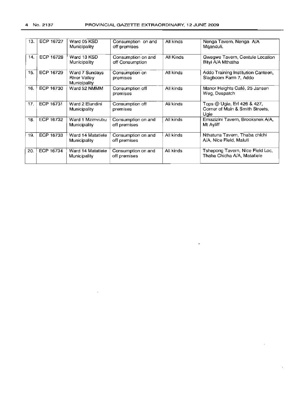| 13. | ECP 16727 | Ward 05 KSD<br>Municipality                           | Consumption on and<br>off premises    | All kinds | Nenga Tavern, Nenga A/A<br>Mganduli.                                   |
|-----|-----------|-------------------------------------------------------|---------------------------------------|-----------|------------------------------------------------------------------------|
| 14. | ECP 16728 | Ward 13 KSD<br>Municipality                           | Consumption on and<br>off Consumption | All Kinds | Gwegwe Tavern, Centule Location<br>Bityi A/A Mthatha                   |
| 15. | ECP 16729 | Ward 7 Sundays<br><b>River Valley</b><br>Municipality | Consumption on<br>premises            | All kinds | Addo Training Institution Canteen,<br>Slagboom Farm 7, Addo            |
| 16. | ECP 16730 | Ward 52 NMMM                                          | Consumption off<br>premises           | All kinds | Manor Heights Café, 25 Jansen<br>Weg, Despatch                         |
| 17. | ECP 16731 | Ward 2 Elundini<br>Municipality                       | Consumption off<br>premises           | All kinds | Tops @ Ugie, Erf 426 & 427,<br>Corner of Main & Smith Streets.<br>Ugie |
| 18. | ECP 16732 | Ward 1 Mzimyubu<br>Municipality                       | Consumption on and<br>off premises    | All kinds | Emazizini Tavern, Brooksnek A/A,<br>Mt Ayliff                          |
| 19. | ECP 16733 | Ward 14 Matatiele<br>Municipality                     | Consumption on and<br>off premises    | All kinds | Nthatuna Tavern, Thaba chichi<br>A/A, Nice Field, Maluti               |
| 20. | ECP 16734 | Ward 14 Matatiele<br>Municipality                     | Consumption on and<br>off premises    | All kinds | Tshepong Tavern, Nice Field Loc,<br>Thaba Chicha A/A, Matatiele        |

 $\mathcal{A}^{\pm}$ 

 $\bullet$ 

 $\Box$ 

 $\mathbf{v}$